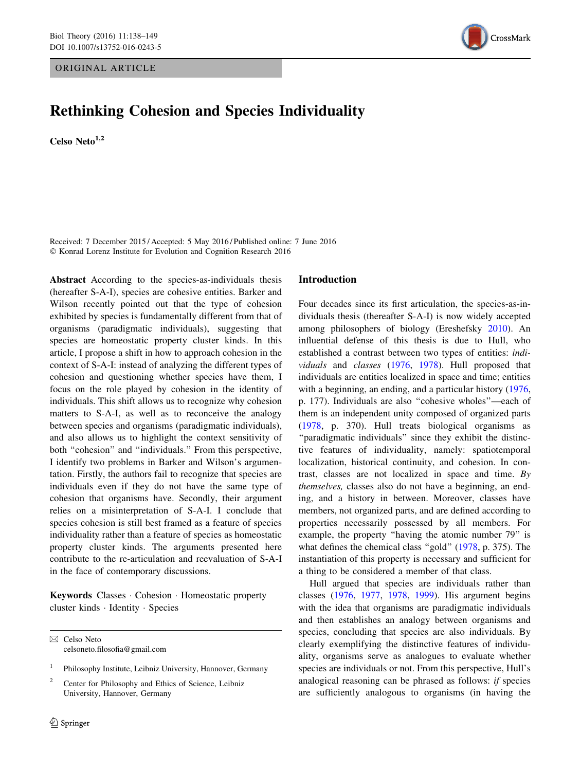<span id="page-0-0"></span>ORIGINAL ARTICLE

# Rethinking Cohesion and Species Individuality

Celso Neto $1,2$ 

Received: 7 December 2015 / Accepted: 5 May 2016 / Published online: 7 June 2016 - Konrad Lorenz Institute for Evolution and Cognition Research 2016

Abstract According to the species-as-individuals thesis (hereafter S-A-I), species are cohesive entities. Barker and Wilson recently pointed out that the type of cohesion exhibited by species is fundamentally different from that of organisms (paradigmatic individuals), suggesting that species are homeostatic property cluster kinds. In this article, I propose a shift in how to approach cohesion in the context of S-A-I: instead of analyzing the different types of cohesion and questioning whether species have them, I focus on the role played by cohesion in the identity of individuals. This shift allows us to recognize why cohesion matters to S-A-I, as well as to reconceive the analogy between species and organisms (paradigmatic individuals), and also allows us to highlight the context sensitivity of both ''cohesion'' and ''individuals.'' From this perspective, I identify two problems in Barker and Wilson's argumentation. Firstly, the authors fail to recognize that species are individuals even if they do not have the same type of cohesion that organisms have. Secondly, their argument relies on a misinterpretation of S-A-I. I conclude that species cohesion is still best framed as a feature of species individuality rather than a feature of species as homeostatic property cluster kinds. The arguments presented here contribute to the re-articulation and reevaluation of S-A-I in the face of contemporary discussions.

Keywords Classes - Cohesion - Homeostatic property cluster kinds - Identity - Species

 $\boxtimes$  Celso Neto celsoneto.filosofia@gmail.com

Center for Philosophy and Ethics of Science, Leibniz University, Hannover, Germany

### Introduction

Four decades since its first articulation, the species-as-individuals thesis (thereafter S-A-I) is now widely accepted among philosophers of biology (Ereshefsky [2010](#page-10-0)). An influential defense of this thesis is due to Hull, who established a contrast between two types of entities: individuals and classes ([1976,](#page-11-0) [1978\)](#page-11-0). Hull proposed that individuals are entities localized in space and time; entities with a beginning, an ending, and a particular history ([1976,](#page-11-0) p. 177). Individuals are also ''cohesive wholes''—each of them is an independent unity composed of organized parts [\(1978](#page-11-0), p. 370). Hull treats biological organisms as "paradigmatic individuals" since they exhibit the distinctive features of individuality, namely: spatiotemporal localization, historical continuity, and cohesion. In contrast, classes are not localized in space and time. By themselves, classes also do not have a beginning, an ending, and a history in between. Moreover, classes have members, not organized parts, and are defined according to properties necessarily possessed by all members. For example, the property "having the atomic number 79" is what defines the chemical class "gold" ([1978,](#page-11-0) p. 375). The instantiation of this property is necessary and sufficient for a thing to be considered a member of that class.

Hull argued that species are individuals rather than classes [\(1976](#page-11-0), [1977,](#page-11-0) [1978,](#page-11-0) [1999](#page-11-0)). His argument begins with the idea that organisms are paradigmatic individuals and then establishes an analogy between organisms and species, concluding that species are also individuals. By clearly exemplifying the distinctive features of individuality, organisms serve as analogues to evaluate whether species are individuals or not. From this perspective, Hull's analogical reasoning can be phrased as follows: if species are sufficiently analogous to organisms (in having the



<sup>1</sup> Philosophy Institute, Leibniz University, Hannover, Germany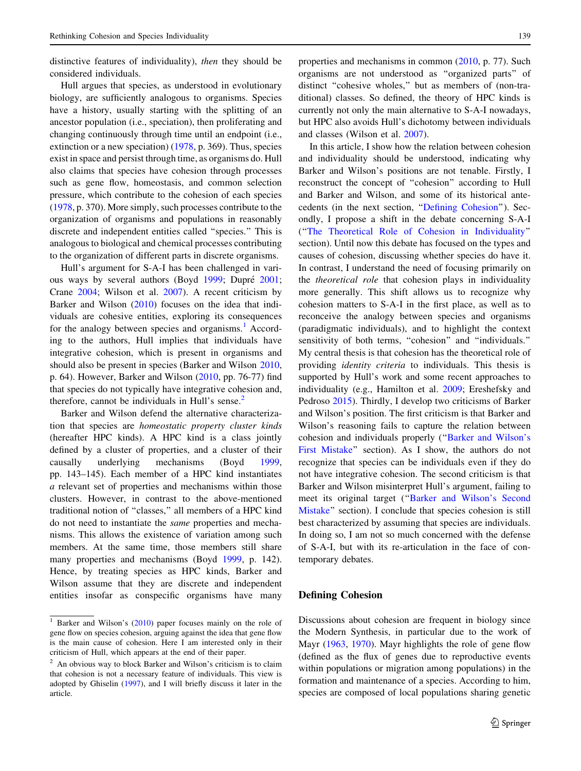<span id="page-1-0"></span>distinctive features of individuality), then they should be considered individuals.

Hull argues that species, as understood in evolutionary biology, are sufficiently analogous to organisms. Species have a history, usually starting with the splitting of an ancestor population (i.e., speciation), then proliferating and changing continuously through time until an endpoint (i.e., extinction or a new speciation) ([1978](#page-11-0), p. 369). Thus, species exist in space and persist through time, as organisms do. Hull also claims that species have cohesion through processes such as gene flow, homeostasis, and common selection pressure, which contribute to the cohesion of each species [\(1978](#page-11-0), p. 370). More simply, such processes contribute to the organization of organisms and populations in reasonably discrete and independent entities called ''species.'' This is analogous to biological and chemical processes contributing to the organization of different parts in discrete organisms.

Hull's argument for S-A-I has been challenged in vari-ous ways by several authors (Boyd [1999](#page-10-0); Dupré [2001](#page-10-0); Crane [2004;](#page-10-0) Wilson et al. [2007](#page-11-0)). A recent criticism by Barker and Wilson ([2010\)](#page-10-0) focuses on the idea that individuals are cohesive entities, exploring its consequences for the analogy between species and organisms.<sup>1</sup> According to the authors, Hull implies that individuals have integrative cohesion, which is present in organisms and should also be present in species (Barker and Wilson [2010,](#page-10-0) p. 64). However, Barker and Wilson ([2010,](#page-10-0) pp. 76-77) find that species do not typically have integrative cohesion and, therefore, cannot be individuals in Hull's sense. $<sup>2</sup>$ </sup>

Barker and Wilson defend the alternative characterization that species are homeostatic property cluster kinds (hereafter HPC kinds). A HPC kind is a class jointly defined by a cluster of properties, and a cluster of their causally underlying mechanisms (Boyd [1999,](#page-10-0) pp. 143–145). Each member of a HPC kind instantiates a relevant set of properties and mechanisms within those clusters. However, in contrast to the above-mentioned traditional notion of ''classes,'' all members of a HPC kind do not need to instantiate the same properties and mechanisms. This allows the existence of variation among such members. At the same time, those members still share many properties and mechanisms (Boyd [1999](#page-10-0), p. 142). Hence, by treating species as HPC kinds, Barker and Wilson assume that they are discrete and independent entities insofar as conspecific organisms have many properties and mechanisms in common [\(2010](#page-10-0), p. 77). Such organisms are not understood as ''organized parts'' of distinct ''cohesive wholes,'' but as members of (non-traditional) classes. So defined, the theory of HPC kinds is currently not only the main alternative to S-A-I nowadays, but HPC also avoids Hull's dichotomy between individuals and classes (Wilson et al. [2007](#page-11-0)).

In this article, I show how the relation between cohesion and individuality should be understood, indicating why Barker and Wilson's positions are not tenable. Firstly, I reconstruct the concept of ''cohesion'' according to Hull and Barker and Wilson, and some of its historical antecedents (in the next section, ''Defining Cohesion''). Secondly, I propose a shift in the debate concerning S-A-I (''[The Theoretical Role of Cohesion in Individuality'](#page-3-0)' section). Until now this debate has focused on the types and causes of cohesion, discussing whether species do have it. In contrast, I understand the need of focusing primarily on the theoretical role that cohesion plays in individuality more generally. This shift allows us to recognize why cohesion matters to S-A-I in the first place, as well as to reconceive the analogy between species and organisms (paradigmatic individuals), and to highlight the context sensitivity of both terms, "cohesion" and "individuals." My central thesis is that cohesion has the theoretical role of providing identity criteria to individuals. This thesis is supported by Hull's work and some recent approaches to individuality (e.g., Hamilton et al. [2009](#page-11-0); Ereshefsky and Pedroso [2015](#page-11-0)). Thirdly, I develop two criticisms of Barker and Wilson's position. The first criticism is that Barker and Wilson's reasoning fails to capture the relation between cohesion and individuals properly (''[Barker and Wilson's](#page-5-0) [First Mistake'](#page-5-0)' section). As I show, the authors do not recognize that species can be individuals even if they do not have integrative cohesion. The second criticism is that Barker and Wilson misinterpret Hull's argument, failing to meet its original target ('['Barker and Wilson's Second](#page-9-0) [Mistake](#page-9-0)'' section). I conclude that species cohesion is still best characterized by assuming that species are individuals. In doing so, I am not so much concerned with the defense of S-A-I, but with its re-articulation in the face of contemporary debates.

# Defining Cohesion

Discussions about cohesion are frequent in biology since the Modern Synthesis, in particular due to the work of Mayr [\(1963](#page-11-0), [1970](#page-11-0)). Mayr highlights the role of gene flow (defined as the flux of genes due to reproductive events within populations or migration among populations) in the formation and maintenance of a species. According to him, species are composed of local populations sharing genetic

 $\frac{1}{1}$  Barker and Wilson's ([2010\)](#page-10-0) paper focuses mainly on the role of gene flow on species cohesion, arguing against the idea that gene flow is the main cause of cohesion. Here I am interested only in their criticism of Hull, which appears at the end of their paper.

 $2$  An obvious way to block Barker and Wilson's criticism is to claim that cohesion is not a necessary feature of individuals. This view is adopted by Ghiselin [\(1997](#page-11-0)), and I will briefly discuss it later in the article.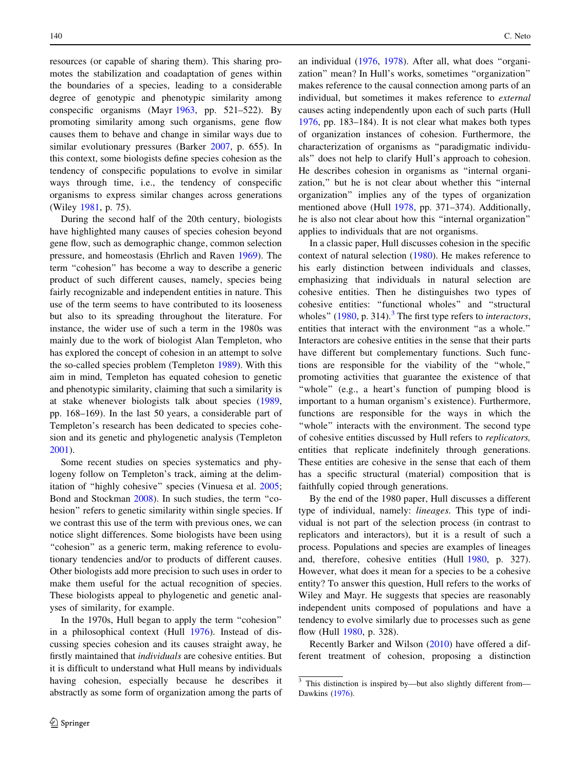resources (or capable of sharing them). This sharing promotes the stabilization and coadaptation of genes within the boundaries of a species, leading to a considerable degree of genotypic and phenotypic similarity among conspecific organisms (Mayr [1963,](#page-11-0) pp. 521–522). By promoting similarity among such organisms, gene flow causes them to behave and change in similar ways due to similar evolutionary pressures (Barker [2007,](#page-10-0) p. 655). In this context, some biologists define species cohesion as the tendency of conspecific populations to evolve in similar ways through time, i.e., the tendency of conspecific organisms to express similar changes across generations (Wiley [1981](#page-11-0), p. 75).

During the second half of the 20th century, biologists have highlighted many causes of species cohesion beyond gene flow, such as demographic change, common selection pressure, and homeostasis (Ehrlich and Raven [1969](#page-10-0)). The term ''cohesion'' has become a way to describe a generic product of such different causes, namely, species being fairly recognizable and independent entities in nature. This use of the term seems to have contributed to its looseness but also to its spreading throughout the literature. For instance, the wider use of such a term in the 1980s was mainly due to the work of biologist Alan Templeton, who has explored the concept of cohesion in an attempt to solve the so-called species problem (Templeton [1989](#page-11-0)). With this aim in mind, Templeton has equated cohesion to genetic and phenotypic similarity, claiming that such a similarity is at stake whenever biologists talk about species ([1989,](#page-11-0) pp. 168–169). In the last 50 years, a considerable part of Templeton's research has been dedicated to species cohesion and its genetic and phylogenetic analysis (Templeton [2001\)](#page-11-0).

Some recent studies on species systematics and phylogeny follow on Templeton's track, aiming at the delimitation of ''highly cohesive'' species (Vinuesa et al. [2005](#page-11-0); Bond and Stockman [2008](#page-10-0)). In such studies, the term ''cohesion" refers to genetic similarity within single species. If we contrast this use of the term with previous ones, we can notice slight differences. Some biologists have been using "cohesion" as a generic term, making reference to evolutionary tendencies and/or to products of different causes. Other biologists add more precision to such uses in order to make them useful for the actual recognition of species. These biologists appeal to phylogenetic and genetic analyses of similarity, for example.

In the 1970s, Hull began to apply the term ''cohesion'' in a philosophical context (Hull [1976\)](#page-11-0). Instead of discussing species cohesion and its causes straight away, he firstly maintained that individuals are cohesive entities. But it is difficult to understand what Hull means by individuals having cohesion, especially because he describes it abstractly as some form of organization among the parts of an individual [\(1976](#page-11-0), [1978](#page-11-0)). After all, what does ''organization'' mean? In Hull's works, sometimes ''organization'' makes reference to the causal connection among parts of an individual, but sometimes it makes reference to external causes acting independently upon each of such parts (Hull [1976](#page-11-0), pp. 183–184). It is not clear what makes both types of organization instances of cohesion. Furthermore, the characterization of organisms as ''paradigmatic individuals'' does not help to clarify Hull's approach to cohesion. He describes cohesion in organisms as ''internal organization,'' but he is not clear about whether this ''internal organization'' implies any of the types of organization mentioned above (Hull [1978](#page-11-0), pp. 371–374). Additionally, he is also not clear about how this ''internal organization'' applies to individuals that are not organisms.

In a classic paper, Hull discusses cohesion in the specific context of natural selection [\(1980](#page-11-0)). He makes reference to his early distinction between individuals and classes, emphasizing that individuals in natural selection are cohesive entities. Then he distinguishes two types of cohesive entities: ''functional wholes'' and ''structural wholes"  $(1980, p. 314)$  $(1980, p. 314)$  $(1980, p. 314)$ .<sup>3</sup> The first type refers to *interactors*, entities that interact with the environment ''as a whole.'' Interactors are cohesive entities in the sense that their parts have different but complementary functions. Such functions are responsible for the viability of the ''whole,'' promoting activities that guarantee the existence of that "whole" (e.g., a heart's function of pumping blood is important to a human organism's existence). Furthermore, functions are responsible for the ways in which the "whole" interacts with the environment. The second type of cohesive entities discussed by Hull refers to replicators, entities that replicate indefinitely through generations. These entities are cohesive in the sense that each of them has a specific structural (material) composition that is faithfully copied through generations.

By the end of the 1980 paper, Hull discusses a different type of individual, namely: lineages. This type of individual is not part of the selection process (in contrast to replicators and interactors), but it is a result of such a process. Populations and species are examples of lineages and, therefore, cohesive entities (Hull [1980](#page-11-0), p. 327). However, what does it mean for a species to be a cohesive entity? To answer this question, Hull refers to the works of Wiley and Mayr. He suggests that species are reasonably independent units composed of populations and have a tendency to evolve similarly due to processes such as gene flow (Hull [1980,](#page-11-0) p. 328).

Recently Barker and Wilson ([2010\)](#page-10-0) have offered a different treatment of cohesion, proposing a distinction

<sup>&</sup>lt;sup>3</sup> This distinction is inspired by—but also slightly different from— Dawkins ([1976\)](#page-10-0).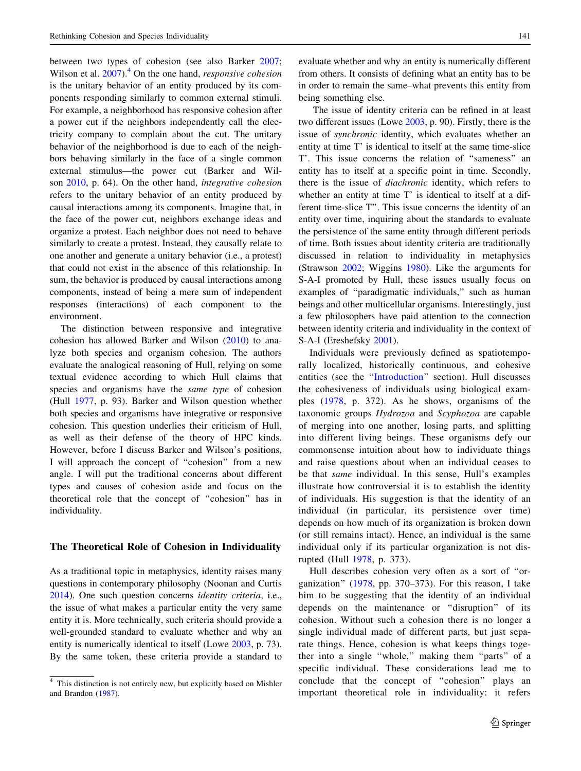<span id="page-3-0"></span>between two types of cohesion (see also Barker [2007](#page-10-0); Wilson et al.  $2007$ ).<sup>4</sup> On the one hand, *responsive cohesion* is the unitary behavior of an entity produced by its components responding similarly to common external stimuli. For example, a neighborhood has responsive cohesion after a power cut if the neighbors independently call the electricity company to complain about the cut. The unitary behavior of the neighborhood is due to each of the neighbors behaving similarly in the face of a single common external stimulus—the power cut (Barker and Wilson [2010](#page-10-0), p. 64). On the other hand, integrative cohesion refers to the unitary behavior of an entity produced by causal interactions among its components. Imagine that, in the face of the power cut, neighbors exchange ideas and organize a protest. Each neighbor does not need to behave similarly to create a protest. Instead, they causally relate to one another and generate a unitary behavior (i.e., a protest) that could not exist in the absence of this relationship. In sum, the behavior is produced by causal interactions among components, instead of being a mere sum of independent responses (interactions) of each component to the environment.

The distinction between responsive and integrative cohesion has allowed Barker and Wilson ([2010\)](#page-10-0) to analyze both species and organism cohesion. The authors evaluate the analogical reasoning of Hull, relying on some textual evidence according to which Hull claims that species and organisms have the same type of cohesion (Hull [1977](#page-11-0), p. 93). Barker and Wilson question whether both species and organisms have integrative or responsive cohesion. This question underlies their criticism of Hull, as well as their defense of the theory of HPC kinds. However, before I discuss Barker and Wilson's positions, I will approach the concept of ''cohesion'' from a new angle. I will put the traditional concerns about different types and causes of cohesion aside and focus on the theoretical role that the concept of ''cohesion'' has in individuality.

#### The Theoretical Role of Cohesion in Individuality

As a traditional topic in metaphysics, identity raises many questions in contemporary philosophy (Noonan and Curtis [2014\)](#page-11-0). One such question concerns identity criteria, i.e., the issue of what makes a particular entity the very same entity it is. More technically, such criteria should provide a well-grounded standard to evaluate whether and why an entity is numerically identical to itself (Lowe [2003](#page-11-0), p. 73). By the same token, these criteria provide a standard to evaluate whether and why an entity is numerically different from others. It consists of defining what an entity has to be in order to remain the same–what prevents this entity from being something else.

The issue of identity criteria can be refined in at least two different issues (Lowe [2003,](#page-11-0) p. 90). Firstly, there is the issue of synchronic identity, which evaluates whether an entity at time T' is identical to itself at the same time-slice T'. This issue concerns the relation of ''sameness'' an entity has to itself at a specific point in time. Secondly, there is the issue of diachronic identity, which refers to whether an entity at time T' is identical to itself at a different time-slice T''. This issue concerns the identity of an entity over time, inquiring about the standards to evaluate the persistence of the same entity through different periods of time. Both issues about identity criteria are traditionally discussed in relation to individuality in metaphysics (Strawson [2002;](#page-11-0) Wiggins [1980\)](#page-11-0). Like the arguments for S-A-I promoted by Hull, these issues usually focus on examples of "paradigmatic individuals," such as human beings and other multicellular organisms. Interestingly, just a few philosophers have paid attention to the connection between identity criteria and individuality in the context of S-A-I (Ereshefsky [2001](#page-10-0)).

Individuals were previously defined as spatiotemporally localized, historically continuous, and cohesive entities (see the ''[Introduction](#page-0-0)'' section). Hull discusses the cohesiveness of individuals using biological examples [\(1978,](#page-11-0) p. 372). As he shows, organisms of the taxonomic groups Hydrozoa and Scyphozoa are capable of merging into one another, losing parts, and splitting into different living beings. These organisms defy our commonsense intuition about how to individuate things and raise questions about when an individual ceases to be that same individual. In this sense, Hull's examples illustrate how controversial it is to establish the identity of individuals. His suggestion is that the identity of an individual (in particular, its persistence over time) depends on how much of its organization is broken down (or still remains intact). Hence, an individual is the same individual only if its particular organization is not disrupted (Hull [1978,](#page-11-0) p. 373).

Hull describes cohesion very often as a sort of ''organization'' ([1978](#page-11-0), pp. 370–373). For this reason, I take him to be suggesting that the identity of an individual depends on the maintenance or ''disruption'' of its cohesion. Without such a cohesion there is no longer a single individual made of different parts, but just separate things. Hence, cohesion is what keeps things together into a single ''whole,'' making them ''parts'' of a specific individual. These considerations lead me to conclude that the concept of ''cohesion'' plays an important theoretical role in individuality: it refers

<sup>4</sup> This distinction is not entirely new, but explicitly based on Mishler and Brandon ([1987\)](#page-11-0).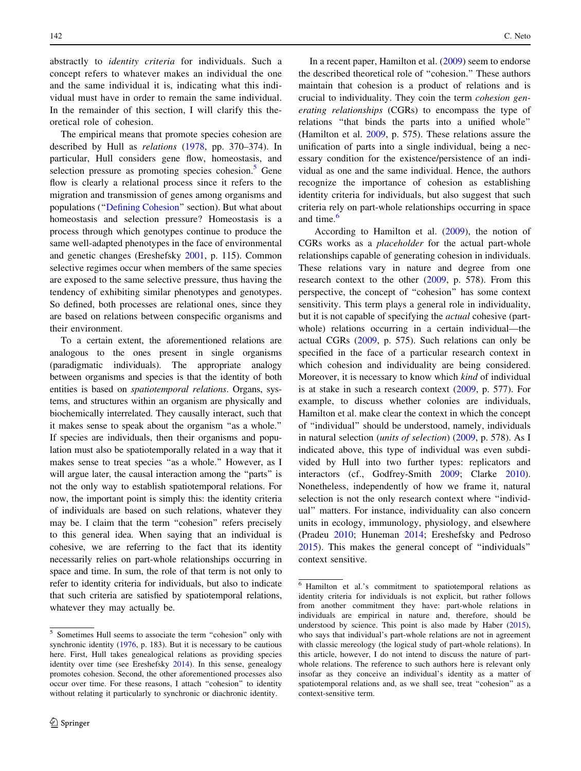abstractly to identity criteria for individuals. Such a concept refers to whatever makes an individual the one and the same individual it is, indicating what this individual must have in order to remain the same individual. In the remainder of this section, I will clarify this theoretical role of cohesion.

The empirical means that promote species cohesion are described by Hull as relations ([1978,](#page-11-0) pp. 370–374). In particular, Hull considers gene flow, homeostasis, and selection pressure as promoting species cohesion. $5$  Gene flow is clearly a relational process since it refers to the migration and transmission of genes among organisms and populations (''[Defining Cohesion'](#page-1-0)' section). But what about homeostasis and selection pressure? Homeostasis is a process through which genotypes continue to produce the same well-adapted phenotypes in the face of environmental and genetic changes (Ereshefsky [2001,](#page-10-0) p. 115). Common selective regimes occur when members of the same species are exposed to the same selective pressure, thus having the tendency of exhibiting similar phenotypes and genotypes. So defined, both processes are relational ones, since they are based on relations between conspecific organisms and their environment.

To a certain extent, the aforementioned relations are analogous to the ones present in single organisms (paradigmatic individuals). The appropriate analogy between organisms and species is that the identity of both entities is based on spatiotemporal relations. Organs, systems, and structures within an organism are physically and biochemically interrelated. They causally interact, such that it makes sense to speak about the organism ''as a whole.'' If species are individuals, then their organisms and population must also be spatiotemporally related in a way that it makes sense to treat species "as a whole." However, as I will argue later, the causal interaction among the "parts" is not the only way to establish spatiotemporal relations. For now, the important point is simply this: the identity criteria of individuals are based on such relations, whatever they may be. I claim that the term ''cohesion'' refers precisely to this general idea. When saying that an individual is cohesive, we are referring to the fact that its identity necessarily relies on part-whole relationships occurring in space and time. In sum, the role of that term is not only to refer to identity criteria for individuals, but also to indicate that such criteria are satisfied by spatiotemporal relations, whatever they may actually be.

In a recent paper, Hamilton et al. [\(2009](#page-11-0)) seem to endorse the described theoretical role of ''cohesion.'' These authors maintain that cohesion is a product of relations and is crucial to individuality. They coin the term cohesion generating relationships (CGRs) to encompass the type of relations ''that binds the parts into a unified whole'' (Hamilton et al. [2009](#page-11-0), p. 575). These relations assure the unification of parts into a single individual, being a necessary condition for the existence/persistence of an individual as one and the same individual. Hence, the authors recognize the importance of cohesion as establishing identity criteria for individuals, but also suggest that such criteria rely on part-whole relationships occurring in space and time.<sup>6</sup>

According to Hamilton et al. ([2009\)](#page-11-0), the notion of CGRs works as a placeholder for the actual part-whole relationships capable of generating cohesion in individuals. These relations vary in nature and degree from one research context to the other ([2009,](#page-11-0) p. 578). From this perspective, the concept of ''cohesion'' has some context sensitivity. This term plays a general role in individuality, but it is not capable of specifying the actual cohesive (partwhole) relations occurring in a certain individual—the actual CGRs ([2009,](#page-11-0) p. 575). Such relations can only be specified in the face of a particular research context in which cohesion and individuality are being considered. Moreover, it is necessary to know which kind of individual is at stake in such a research context [\(2009](#page-11-0), p. 577). For example, to discuss whether colonies are individuals, Hamilton et al. make clear the context in which the concept of ''individual'' should be understood, namely, individuals in natural selection (units of selection) ([2009,](#page-11-0) p. 578). As I indicated above, this type of individual was even subdivided by Hull into two further types: replicators and interactors (cf., Godfrey-Smith [2009](#page-11-0); Clarke [2010](#page-10-0)). Nonetheless, independently of how we frame it, natural selection is not the only research context where ''individual'' matters. For instance, individuality can also concern units in ecology, immunology, physiology, and elsewhere (Pradeu [2010](#page-11-0); Huneman [2014;](#page-11-0) Ereshefsky and Pedroso [2015](#page-11-0)). This makes the general concept of ''individuals'' context sensitive.

<sup>5</sup> Sometimes Hull seems to associate the term ''cohesion'' only with synchronic identity ([1976,](#page-11-0) p. 183). But it is necessary to be cautious here. First, Hull takes genealogical relations as providing species identity over time (see Ereshefsky [2014](#page-10-0)). In this sense, genealogy promotes cohesion. Second, the other aforementioned processes also occur over time. For these reasons, I attach ''cohesion'' to identity without relating it particularly to synchronic or diachronic identity.

<sup>6</sup> Hamilton et al.'s commitment to spatiotemporal relations as identity criteria for individuals is not explicit, but rather follows from another commitment they have: part-whole relations in individuals are empirical in nature and, therefore, should be understood by science. This point is also made by Haber [\(2015](#page-11-0)), who says that individual's part-whole relations are not in agreement with classic mereology (the logical study of part-whole relations). In this article, however, I do not intend to discuss the nature of partwhole relations. The reference to such authors here is relevant only insofar as they conceive an individual's identity as a matter of spatiotemporal relations and, as we shall see, treat ''cohesion'' as a context-sensitive term.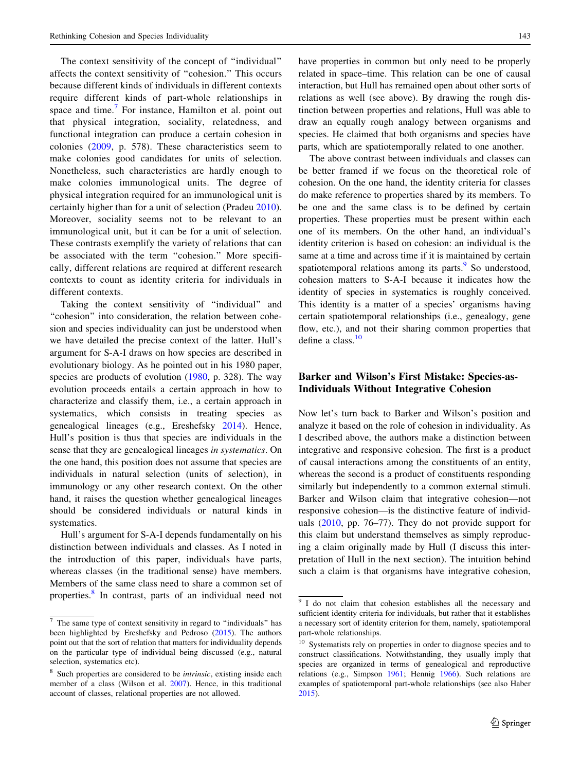<span id="page-5-0"></span>The context sensitivity of the concept of ''individual'' affects the context sensitivity of ''cohesion.'' This occurs because different kinds of individuals in different contexts require different kinds of part-whole relationships in space and time. $<sup>7</sup>$  For instance, Hamilton et al. point out</sup> that physical integration, sociality, relatedness, and functional integration can produce a certain cohesion in colonies ([2009](#page-11-0), p. 578). These characteristics seem to make colonies good candidates for units of selection. Nonetheless, such characteristics are hardly enough to make colonies immunological units. The degree of physical integration required for an immunological unit is certainly higher than for a unit of selection (Pradeu [2010](#page-11-0)). Moreover, sociality seems not to be relevant to an immunological unit, but it can be for a unit of selection. These contrasts exemplify the variety of relations that can be associated with the term ''cohesion.'' More specifically, different relations are required at different research contexts to count as identity criteria for individuals in different contexts.

Taking the context sensitivity of ''individual'' and ''cohesion'' into consideration, the relation between cohesion and species individuality can just be understood when we have detailed the precise context of the latter. Hull's argument for S-A-I draws on how species are described in evolutionary biology. As he pointed out in his 1980 paper, species are products of evolution ([1980,](#page-11-0) p. 328). The way evolution proceeds entails a certain approach in how to characterize and classify them, i.e., a certain approach in systematics, which consists in treating species as genealogical lineages (e.g., Ereshefsky [2014](#page-10-0)). Hence, Hull's position is thus that species are individuals in the sense that they are genealogical lineages in systematics. On the one hand, this position does not assume that species are individuals in natural selection (units of selection), in immunology or any other research context. On the other hand, it raises the question whether genealogical lineages should be considered individuals or natural kinds in systematics.

Hull's argument for S-A-I depends fundamentally on his distinction between individuals and classes. As I noted in the introduction of this paper, individuals have parts, whereas classes (in the traditional sense) have members. Members of the same class need to share a common set of properties.<sup>8</sup> In contrast, parts of an individual need not have properties in common but only need to be properly related in space–time. This relation can be one of causal interaction, but Hull has remained open about other sorts of relations as well (see above). By drawing the rough distinction between properties and relations, Hull was able to draw an equally rough analogy between organisms and species. He claimed that both organisms and species have parts, which are spatiotemporally related to one another.

The above contrast between individuals and classes can be better framed if we focus on the theoretical role of cohesion. On the one hand, the identity criteria for classes do make reference to properties shared by its members. To be one and the same class is to be defined by certain properties. These properties must be present within each one of its members. On the other hand, an individual's identity criterion is based on cohesion: an individual is the same at a time and across time if it is maintained by certain spatiotemporal relations among its parts.<sup>9</sup> So understood, cohesion matters to S-A-I because it indicates how the identity of species in systematics is roughly conceived. This identity is a matter of a species' organisms having certain spatiotemporal relationships (i.e., genealogy, gene flow, etc.), and not their sharing common properties that define a class. $10$ 

# Barker and Wilson's First Mistake: Species-as-Individuals Without Integrative Cohesion

Now let's turn back to Barker and Wilson's position and analyze it based on the role of cohesion in individuality. As I described above, the authors make a distinction between integrative and responsive cohesion. The first is a product of causal interactions among the constituents of an entity, whereas the second is a product of constituents responding similarly but independently to a common external stimuli. Barker and Wilson claim that integrative cohesion—not responsive cohesion—is the distinctive feature of individuals ([2010,](#page-10-0) pp. 76–77). They do not provide support for this claim but understand themselves as simply reproducing a claim originally made by Hull (I discuss this interpretation of Hull in the next section). The intuition behind such a claim is that organisms have integrative cohesion,

 $\frac{1}{7}$  The same type of context sensitivity in regard to "individuals" has been highlighted by Ereshefsky and Pedroso [\(2015](#page-11-0)). The authors point out that the sort of relation that matters for individuality depends on the particular type of individual being discussed (e.g., natural selection, systematics etc).

Such properties are considered to be *intrinsic*, existing inside each member of a class (Wilson et al. [2007](#page-11-0)). Hence, in this traditional account of classes, relational properties are not allowed.

<sup>&</sup>lt;sup>9</sup> I do not claim that cohesion establishes all the necessary and sufficient identity criteria for individuals, but rather that it establishes a necessary sort of identity criterion for them, namely, spatiotemporal part-whole relationships.

<sup>&</sup>lt;sup>10</sup> Systematists rely on properties in order to diagnose species and to construct classifications. Notwithstanding, they usually imply that species are organized in terms of genealogical and reproductive relations (e.g., Simpson [1961;](#page-11-0) Hennig [1966\)](#page-11-0). Such relations are examples of spatiotemporal part-whole relationships (see also Haber [2015](#page-11-0)).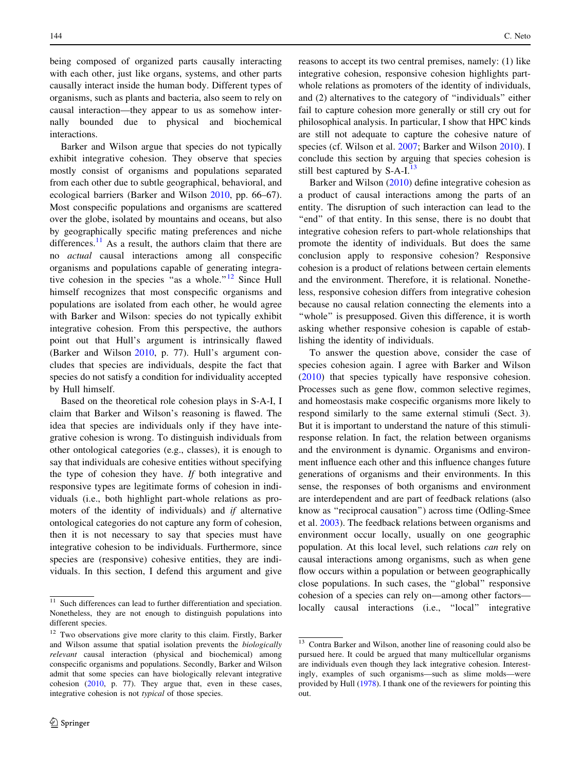being composed of organized parts causally interacting with each other, just like organs, systems, and other parts causally interact inside the human body. Different types of organisms, such as plants and bacteria, also seem to rely on causal interaction—they appear to us as somehow internally bounded due to physical and biochemical interactions.

Barker and Wilson argue that species do not typically exhibit integrative cohesion. They observe that species mostly consist of organisms and populations separated from each other due to subtle geographical, behavioral, and ecological barriers (Barker and Wilson [2010,](#page-10-0) pp. 66–67). Most conspecific populations and organisms are scattered over the globe, isolated by mountains and oceans, but also by geographically specific mating preferences and niche differences. $\frac{11}{11}$  As a result, the authors claim that there are no actual causal interactions among all conspecific organisms and populations capable of generating integrative cohesion in the species "as a whole."<sup>12</sup> Since Hull himself recognizes that most conspecific organisms and populations are isolated from each other, he would agree with Barker and Wilson: species do not typically exhibit integrative cohesion. From this perspective, the authors point out that Hull's argument is intrinsically flawed (Barker and Wilson [2010](#page-10-0), p. 77). Hull's argument concludes that species are individuals, despite the fact that species do not satisfy a condition for individuality accepted by Hull himself.

Based on the theoretical role cohesion plays in S-A-I, I claim that Barker and Wilson's reasoning is flawed. The idea that species are individuals only if they have integrative cohesion is wrong. To distinguish individuals from other ontological categories (e.g., classes), it is enough to say that individuals are cohesive entities without specifying the type of cohesion they have. If both integrative and responsive types are legitimate forms of cohesion in individuals (i.e., both highlight part-whole relations as promoters of the identity of individuals) and if alternative ontological categories do not capture any form of cohesion, then it is not necessary to say that species must have integrative cohesion to be individuals. Furthermore, since species are (responsive) cohesive entities, they are individuals. In this section, I defend this argument and give reasons to accept its two central premises, namely: (1) like integrative cohesion, responsive cohesion highlights partwhole relations as promoters of the identity of individuals, and (2) alternatives to the category of ''individuals'' either fail to capture cohesion more generally or still cry out for philosophical analysis. In particular, I show that HPC kinds are still not adequate to capture the cohesive nature of species (cf. Wilson et al. [2007](#page-11-0); Barker and Wilson [2010](#page-10-0)). I conclude this section by arguing that species cohesion is still best captured by  $S-A-I^{13}$ 

Barker and Wilson [\(2010](#page-10-0)) define integrative cohesion as a product of causal interactions among the parts of an entity. The disruption of such interaction can lead to the "end" of that entity. In this sense, there is no doubt that integrative cohesion refers to part-whole relationships that promote the identity of individuals. But does the same conclusion apply to responsive cohesion? Responsive cohesion is a product of relations between certain elements and the environment. Therefore, it is relational. Nonetheless, responsive cohesion differs from integrative cohesion because no causal relation connecting the elements into a "whole" is presupposed. Given this difference, it is worth asking whether responsive cohesion is capable of establishing the identity of individuals.

To answer the question above, consider the case of species cohesion again. I agree with Barker and Wilson [\(2010](#page-10-0)) that species typically have responsive cohesion. Processes such as gene flow, common selective regimes, and homeostasis make cospecific organisms more likely to respond similarly to the same external stimuli (Sect. 3). But it is important to understand the nature of this stimuliresponse relation. In fact, the relation between organisms and the environment is dynamic. Organisms and environment influence each other and this influence changes future generations of organisms and their environments. In this sense, the responses of both organisms and environment are interdependent and are part of feedback relations (also know as ''reciprocal causation'') across time (Odling-Smee et al. [2003](#page-11-0)). The feedback relations between organisms and environment occur locally, usually on one geographic population. At this local level, such relations can rely on causal interactions among organisms, such as when gene flow occurs within a population or between geographically close populations. In such cases, the ''global'' responsive cohesion of a species can rely on—among other factors— <sup>11</sup> Such differences can lead to further differentiation and speciation. <br>
locally causal interactions (i.e., "local" integrative 11 Such distinguish providers inte

Nonetheless, they are not enough to distinguish populations into different species.

<sup>&</sup>lt;sup>12</sup> Two observations give more clarity to this claim. Firstly, Barker and Wilson assume that spatial isolation prevents the biologically relevant causal interaction (physical and biochemical) among conspecific organisms and populations. Secondly, Barker and Wilson admit that some species can have biologically relevant integrative cohesion ([2010](#page-10-0), p. 77). They argue that, even in these cases, integrative cohesion is not typical of those species.

<sup>13</sup> Contra Barker and Wilson, another line of reasoning could also be pursued here. It could be argued that many multicellular organisms are individuals even though they lack integrative cohesion. Interestingly, examples of such organisms—such as slime molds—were provided by Hull ([1978\)](#page-11-0). I thank one of the reviewers for pointing this out.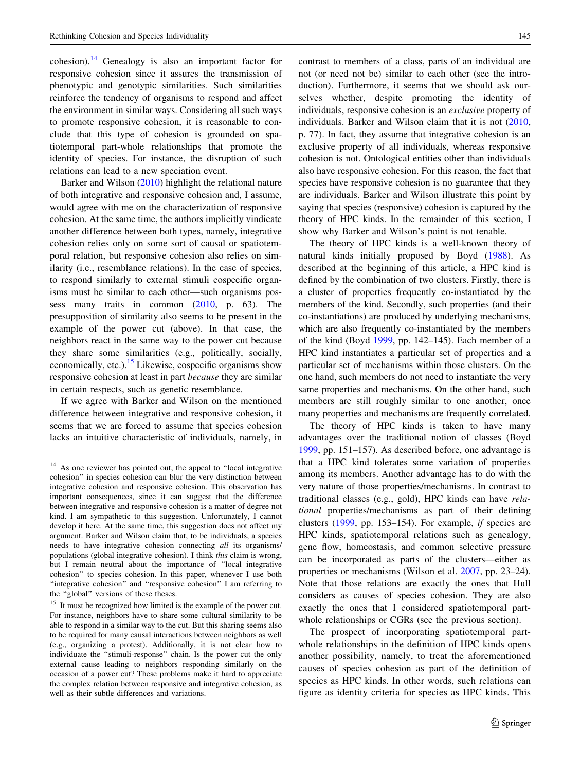cohesion).<sup>14</sup> Genealogy is also an important factor for responsive cohesion since it assures the transmission of phenotypic and genotypic similarities. Such similarities reinforce the tendency of organisms to respond and affect the environment in similar ways. Considering all such ways to promote responsive cohesion, it is reasonable to conclude that this type of cohesion is grounded on spatiotemporal part-whole relationships that promote the identity of species. For instance, the disruption of such relations can lead to a new speciation event.

Barker and Wilson [\(2010](#page-10-0)) highlight the relational nature of both integrative and responsive cohesion and, I assume, would agree with me on the characterization of responsive cohesion. At the same time, the authors implicitly vindicate another difference between both types, namely, integrative cohesion relies only on some sort of causal or spatiotemporal relation, but responsive cohesion also relies on similarity (i.e., resemblance relations). In the case of species, to respond similarly to external stimuli cospecific organisms must be similar to each other—such organisms possess many traits in common ([2010,](#page-10-0) p. 63). The presupposition of similarity also seems to be present in the example of the power cut (above). In that case, the neighbors react in the same way to the power cut because they share some similarities (e.g., politically, socially, economically, etc.).<sup>15</sup> Likewise, cospecific organisms show responsive cohesion at least in part because they are similar in certain respects, such as genetic resemblance.

If we agree with Barker and Wilson on the mentioned difference between integrative and responsive cohesion, it seems that we are forced to assume that species cohesion lacks an intuitive characteristic of individuals, namely, in contrast to members of a class, parts of an individual are not (or need not be) similar to each other (see the introduction). Furthermore, it seems that we should ask ourselves whether, despite promoting the identity of individuals, responsive cohesion is an exclusive property of individuals. Barker and Wilson claim that it is not ([2010,](#page-10-0) p. 77). In fact, they assume that integrative cohesion is an exclusive property of all individuals, whereas responsive cohesion is not. Ontological entities other than individuals also have responsive cohesion. For this reason, the fact that species have responsive cohesion is no guarantee that they are individuals. Barker and Wilson illustrate this point by saying that species (responsive) cohesion is captured by the theory of HPC kinds. In the remainder of this section, I show why Barker and Wilson's point is not tenable.

The theory of HPC kinds is a well-known theory of natural kinds initially proposed by Boyd [\(1988](#page-10-0)). As described at the beginning of this article, a HPC kind is defined by the combination of two clusters. Firstly, there is a cluster of properties frequently co-instantiated by the members of the kind. Secondly, such properties (and their co-instantiations) are produced by underlying mechanisms, which are also frequently co-instantiated by the members of the kind (Boyd [1999,](#page-10-0) pp. 142–145). Each member of a HPC kind instantiates a particular set of properties and a particular set of mechanisms within those clusters. On the one hand, such members do not need to instantiate the very same properties and mechanisms. On the other hand, such members are still roughly similar to one another, once many properties and mechanisms are frequently correlated.

The theory of HPC kinds is taken to have many advantages over the traditional notion of classes (Boyd [1999](#page-10-0), pp. 151–157). As described before, one advantage is that a HPC kind tolerates some variation of properties among its members. Another advantage has to do with the very nature of those properties/mechanisms. In contrast to traditional classes (e.g., gold), HPC kinds can have relational properties/mechanisms as part of their defining clusters ([1999,](#page-10-0) pp. 153–154). For example, if species are HPC kinds, spatiotemporal relations such as genealogy, gene flow, homeostasis, and common selective pressure can be incorporated as parts of the clusters—either as properties or mechanisms (Wilson et al. [2007](#page-11-0), pp. 23–24). Note that those relations are exactly the ones that Hull considers as causes of species cohesion. They are also exactly the ones that I considered spatiotemporal partwhole relationships or CGRs (see the previous section).

The prospect of incorporating spatiotemporal partwhole relationships in the definition of HPC kinds opens another possibility, namely, to treat the aforementioned causes of species cohesion as part of the definition of species as HPC kinds. In other words, such relations can figure as identity criteria for species as HPC kinds. This

<sup>&</sup>lt;sup>14</sup> As one reviewer has pointed out, the appeal to "local integrative cohesion'' in species cohesion can blur the very distinction between integrative cohesion and responsive cohesion. This observation has important consequences, since it can suggest that the difference between integrative and responsive cohesion is a matter of degree not kind. I am sympathetic to this suggestion. Unfortunately, I cannot develop it here. At the same time, this suggestion does not affect my argument. Barker and Wilson claim that, to be individuals, a species needs to have integrative cohesion connecting all its organisms/ populations (global integrative cohesion). I think this claim is wrong, but I remain neutral about the importance of ''local integrative cohesion'' to species cohesion. In this paper, whenever I use both ''integrative cohesion'' and ''responsive cohesion'' I am referring to the ''global'' versions of these theses.

<sup>&</sup>lt;sup>15</sup> It must be recognized how limited is the example of the power cut. For instance, neighbors have to share some cultural similarity to be able to respond in a similar way to the cut. But this sharing seems also to be required for many causal interactions between neighbors as well (e.g., organizing a protest). Additionally, it is not clear how to individuate the ''stimuli-response'' chain. Is the power cut the only external cause leading to neighbors responding similarly on the occasion of a power cut? These problems make it hard to appreciate the complex relation between responsive and integrative cohesion, as well as their subtle differences and variations.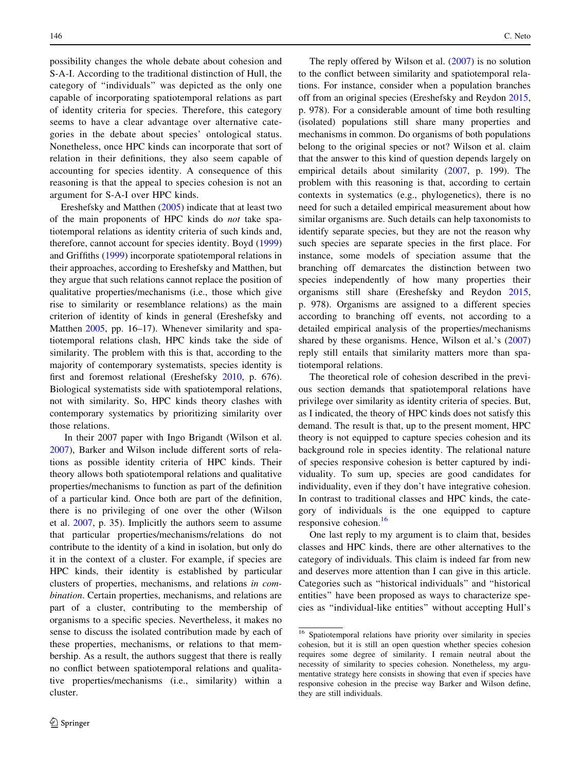possibility changes the whole debate about cohesion and S-A-I. According to the traditional distinction of Hull, the category of ''individuals'' was depicted as the only one capable of incorporating spatiotemporal relations as part of identity criteria for species. Therefore, this category seems to have a clear advantage over alternative categories in the debate about species' ontological status. Nonetheless, once HPC kinds can incorporate that sort of relation in their definitions, they also seem capable of accounting for species identity. A consequence of this reasoning is that the appeal to species cohesion is not an argument for S-A-I over HPC kinds.

Ereshefsky and Matthen ([2005](#page-10-0)) indicate that at least two of the main proponents of HPC kinds do not take spatiotemporal relations as identity criteria of such kinds and, therefore, cannot account for species identity. Boyd ([1999\)](#page-10-0) and Griffiths ([1999\)](#page-11-0) incorporate spatiotemporal relations in their approaches, according to Ereshefsky and Matthen, but they argue that such relations cannot replace the position of qualitative properties/mechanisms (i.e., those which give rise to similarity or resemblance relations) as the main criterion of identity of kinds in general (Ereshefsky and Matthen [2005,](#page-10-0) pp. 16–17). Whenever similarity and spatiotemporal relations clash, HPC kinds take the side of similarity. The problem with this is that, according to the majority of contemporary systematists, species identity is first and foremost relational (Ereshefsky [2010](#page-10-0), p. 676). Biological systematists side with spatiotemporal relations, not with similarity. So, HPC kinds theory clashes with contemporary systematics by prioritizing similarity over those relations.

In their 2007 paper with Ingo Brigandt (Wilson et al. [2007\)](#page-11-0), Barker and Wilson include different sorts of relations as possible identity criteria of HPC kinds. Their theory allows both spatiotemporal relations and qualitative properties/mechanisms to function as part of the definition of a particular kind. Once both are part of the definition, there is no privileging of one over the other (Wilson et al. [2007,](#page-11-0) p. 35). Implicitly the authors seem to assume that particular properties/mechanisms/relations do not contribute to the identity of a kind in isolation, but only do it in the context of a cluster. For example, if species are HPC kinds, their identity is established by particular clusters of properties, mechanisms, and relations in combination. Certain properties, mechanisms, and relations are part of a cluster, contributing to the membership of organisms to a specific species. Nevertheless, it makes no sense to discuss the isolated contribution made by each of these properties, mechanisms, or relations to that membership. As a result, the authors suggest that there is really no conflict between spatiotemporal relations and qualitative properties/mechanisms (i.e., similarity) within a cluster.

The reply offered by Wilson et al. ([2007\)](#page-11-0) is no solution to the conflict between similarity and spatiotemporal relations. For instance, consider when a population branches off from an original species (Ereshefsky and Reydon [2015,](#page-11-0) p. 978). For a considerable amount of time both resulting (isolated) populations still share many properties and mechanisms in common. Do organisms of both populations belong to the original species or not? Wilson et al. claim that the answer to this kind of question depends largely on empirical details about similarity [\(2007](#page-11-0), p. 199). The problem with this reasoning is that, according to certain contexts in systematics (e.g., phylogenetics), there is no need for such a detailed empirical measurement about how similar organisms are. Such details can help taxonomists to identify separate species, but they are not the reason why such species are separate species in the first place. For instance, some models of speciation assume that the branching off demarcates the distinction between two species independently of how many properties their organisms still share (Ereshefsky and Reydon [2015,](#page-11-0) p. 978). Organisms are assigned to a different species according to branching off events, not according to a detailed empirical analysis of the properties/mechanisms shared by these organisms. Hence, Wilson et al.'s ([2007\)](#page-11-0) reply still entails that similarity matters more than spatiotemporal relations.

The theoretical role of cohesion described in the previous section demands that spatiotemporal relations have privilege over similarity as identity criteria of species. But, as I indicated, the theory of HPC kinds does not satisfy this demand. The result is that, up to the present moment, HPC theory is not equipped to capture species cohesion and its background role in species identity. The relational nature of species responsive cohesion is better captured by individuality. To sum up, species are good candidates for individuality, even if they don't have integrative cohesion. In contrast to traditional classes and HPC kinds, the category of individuals is the one equipped to capture responsive cohesion.<sup>16</sup>

One last reply to my argument is to claim that, besides classes and HPC kinds, there are other alternatives to the category of individuals. This claim is indeed far from new and deserves more attention than I can give in this article. Categories such as ''historical individuals'' and ''historical entities'' have been proposed as ways to characterize species as ''individual-like entities'' without accepting Hull's

<sup>&</sup>lt;sup>16</sup> Spatiotemporal relations have priority over similarity in species cohesion, but it is still an open question whether species cohesion requires some degree of similarity. I remain neutral about the necessity of similarity to species cohesion. Nonetheless, my argumentative strategy here consists in showing that even if species have responsive cohesion in the precise way Barker and Wilson define, they are still individuals.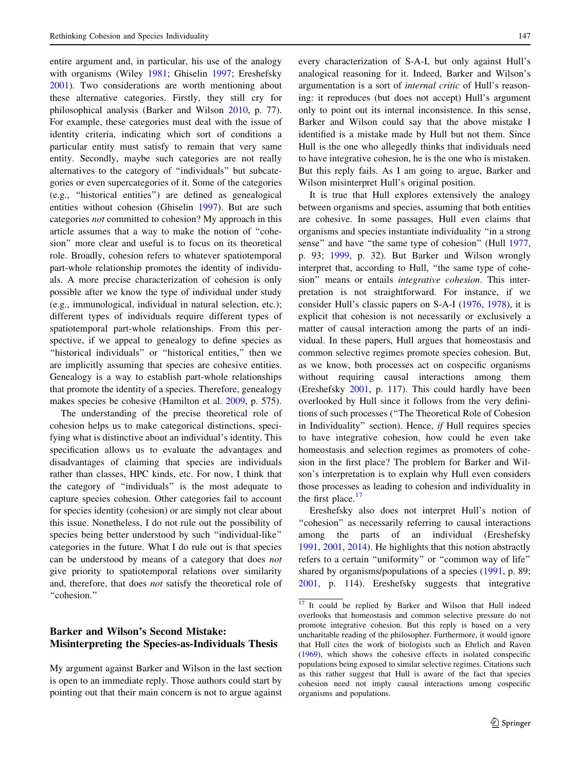<span id="page-9-0"></span>entire argument and, in particular, his use of the analogy with organisms (Wiley [1981](#page-11-0); Ghiselin [1997](#page-11-0); Ereshefsky [2001\)](#page-10-0). Two considerations are worth mentioning about these alternative categories. Firstly, they still cry for philosophical analysis (Barker and Wilson [2010](#page-10-0), p. 77). For example, these categories must deal with the issue of identity criteria, indicating which sort of conditions a particular entity must satisfy to remain that very same entity. Secondly, maybe such categories are not really alternatives to the category of ''individuals'' but subcategories or even supercategories of it. Some of the categories (e.g., ''historical entities'') are defined as genealogical entities without cohesion (Ghiselin [1997](#page-11-0)). But are such categories not committed to cohesion? My approach in this article assumes that a way to make the notion of ''cohesion'' more clear and useful is to focus on its theoretical role. Broadly, cohesion refers to whatever spatiotemporal part-whole relationship promotes the identity of individuals. A more precise characterization of cohesion is only possible after we know the type of individual under study (e.g., immunological, individual in natural selection, etc.); different types of individuals require different types of spatiotemporal part-whole relationships. From this perspective, if we appeal to genealogy to define species as "historical individuals" or "historical entities," then we are implicitly assuming that species are cohesive entities. Genealogy is a way to establish part-whole relationships that promote the identity of a species. Therefore, genealogy makes species be cohesive (Hamilton et al. [2009](#page-11-0), p. 575).

The understanding of the precise theoretical role of cohesion helps us to make categorical distinctions, specifying what is distinctive about an individual's identity. This specification allows us to evaluate the advantages and disadvantages of claiming that species are individuals rather than classes, HPC kinds, etc. For now, I think that the category of ''individuals'' is the most adequate to capture species cohesion. Other categories fail to account for species identity (cohesion) or are simply not clear about this issue. Nonetheless, I do not rule out the possibility of species being better understood by such "individual-like" categories in the future. What I do rule out is that species can be understood by means of a category that does not give priority to spatiotemporal relations over similarity and, therefore, that does not satisfy the theoretical role of ''cohesion.''

# Barker and Wilson's Second Mistake: Misinterpreting the Species-as-Individuals Thesis

My argument against Barker and Wilson in the last section is open to an immediate reply. Those authors could start by pointing out that their main concern is not to argue against every characterization of S-A-I, but only against Hull's analogical reasoning for it. Indeed, Barker and Wilson's argumentation is a sort of internal critic of Hull's reasoning: it reproduces (but does not accept) Hull's argument only to point out its internal inconsistence. In this sense, Barker and Wilson could say that the above mistake I identified is a mistake made by Hull but not them. Since Hull is the one who allegedly thinks that individuals need to have integrative cohesion, he is the one who is mistaken. But this reply fails. As I am going to argue, Barker and Wilson misinterpret Hull's original position.

It is true that Hull explores extensively the analogy between organisms and species, assuming that both entities are cohesive. In some passages, Hull even claims that organisms and species instantiate individuality ''in a strong sense" and have "the same type of cohesion" (Hull [1977,](#page-11-0) p. 93; [1999](#page-11-0), p. 32). But Barker and Wilson wrongly interpret that, according to Hull, "the same type of cohesion'' means or entails integrative cohesion. This interpretation is not straightforward. For instance, if we consider Hull's classic papers on S-A-I ([1976,](#page-11-0) [1978](#page-11-0)), it is explicit that cohesion is not necessarily or exclusively a matter of causal interaction among the parts of an individual. In these papers, Hull argues that homeostasis and common selective regimes promote species cohesion. But, as we know, both processes act on cospecific organisms without requiring causal interactions among them (Ereshefsky [2001](#page-10-0), p. 117). This could hardly have been overlooked by Hull since it follows from the very definitions of such processes (''The Theoretical Role of Cohesion in Individuality" section). Hence, if Hull requires species to have integrative cohesion, how could he even take homeostasis and selection regimes as promoters of cohesion in the first place? The problem for Barker and Wilson's interpretation is to explain why Hull even considers those processes as leading to cohesion and individuality in the first place. $17$ 

Ereshefsky also does not interpret Hull's notion of ''cohesion'' as necessarily referring to causal interactions among the parts of an individual (Ereshefsky [1991](#page-10-0), [2001](#page-10-0), [2014](#page-10-0)). He highlights that this notion abstractly refers to a certain ''uniformity'' or ''common way of life'' shared by organisms/populations of a species  $(1991, p. 89)$  $(1991, p. 89)$  $(1991, p. 89)$ ; [2001](#page-10-0), p. 114). Ereshefsky suggests that integrative

<sup>&</sup>lt;sup>17</sup> It could be replied by Barker and Wilson that Hull indeed overlooks that homeostasis and common selective pressure do not promote integrative cohesion. But this reply is based on a very uncharitable reading of the philosopher. Furthermore, it would ignore that Hull cites the work of biologists such as Ehrlich and Raven ([1969\)](#page-10-0), which shows the cohesive effects in isolated conspecific populations being exposed to similar selective regimes. Citations such as this rather suggest that Hull is aware of the fact that species cohesion need not imply causal interactions among cospecific organisms and populations.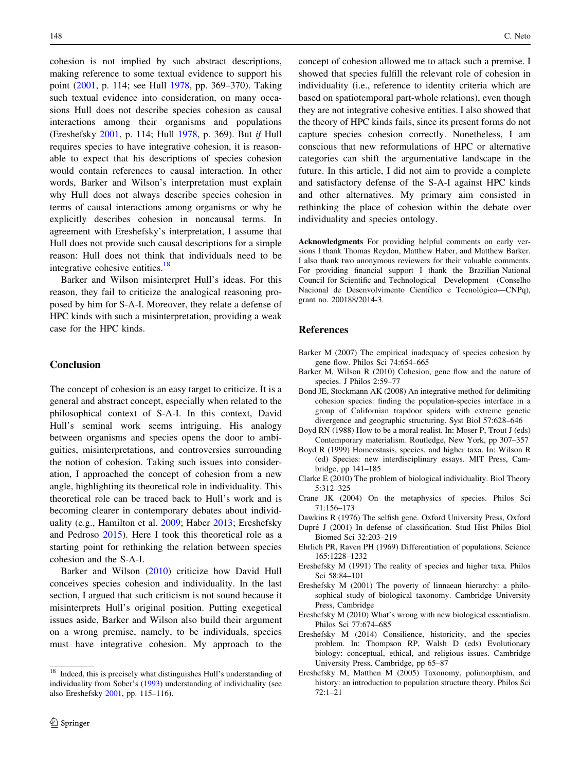<span id="page-10-0"></span>cohesion is not implied by such abstract descriptions, making reference to some textual evidence to support his point (2001, p. 114; see Hull [1978](#page-11-0), pp. 369–370). Taking such textual evidence into consideration, on many occasions Hull does not describe species cohesion as causal interactions among their organisms and populations (Ereshefsky 2001, p. 114; Hull [1978](#page-11-0), p. 369). But if Hull requires species to have integrative cohesion, it is reasonable to expect that his descriptions of species cohesion would contain references to causal interaction. In other words, Barker and Wilson's interpretation must explain why Hull does not always describe species cohesion in terms of causal interactions among organisms or why he explicitly describes cohesion in noncausal terms. In agreement with Ereshefsky's interpretation, I assume that Hull does not provide such causal descriptions for a simple reason: Hull does not think that individuals need to be integrative cohesive entities.<sup>18</sup>

Barker and Wilson misinterpret Hull's ideas. For this reason, they fail to criticize the analogical reasoning proposed by him for S-A-I. Moreover, they relate a defense of HPC kinds with such a misinterpretation, providing a weak case for the HPC kinds.

### Conclusion

The concept of cohesion is an easy target to criticize. It is a general and abstract concept, especially when related to the philosophical context of S-A-I. In this context, David Hull's seminal work seems intriguing. His analogy between organisms and species opens the door to ambiguities, misinterpretations, and controversies surrounding the notion of cohesion. Taking such issues into consideration, I approached the concept of cohesion from a new angle, highlighting its theoretical role in individuality. This theoretical role can be traced back to Hull's work and is becoming clearer in contemporary debates about individuality (e.g., Hamilton et al. [2009](#page-11-0); Haber [2013;](#page-11-0) Ereshefsky and Pedroso [2015\)](#page-11-0). Here I took this theoretical role as a starting point for rethinking the relation between species cohesion and the S-A-I.

Barker and Wilson (2010) criticize how David Hull conceives species cohesion and individuality. In the last section, I argued that such criticism is not sound because it misinterprets Hull's original position. Putting exegetical issues aside, Barker and Wilson also build their argument on a wrong premise, namely, to be individuals, species must have integrative cohesion. My approach to the concept of cohesion allowed me to attack such a premise. I showed that species fulfill the relevant role of cohesion in individuality (i.e., reference to identity criteria which are based on spatiotemporal part-whole relations), even though they are not integrative cohesive entities. I also showed that the theory of HPC kinds fails, since its present forms do not capture species cohesion correctly. Nonetheless, I am conscious that new reformulations of HPC or alternative categories can shift the argumentative landscape in the future. In this article, I did not aim to provide a complete and satisfactory defense of the S-A-I against HPC kinds and other alternatives. My primary aim consisted in rethinking the place of cohesion within the debate over individuality and species ontology.

Acknowledgments For providing helpful comments on early versions I thank Thomas Reydon, Matthew Haber, and Matthew Barker. I also thank two anonymous reviewers for their valuable comments. For providing financial support I thank the Brazilian National Council for Scientific and Technological Development (Conselho Nacional de Desenvolvimento Científico e Tecnológico—CNPq), grant no. 200188/2014-3.

## References

- Barker M (2007) The empirical inadequacy of species cohesion by gene flow. Philos Sci 74:654–665
- Barker M, Wilson R (2010) Cohesion, gene flow and the nature of species. J Philos 2:59–77
- Bond JE, Stockmann AK (2008) An integrative method for delimiting cohesion species: finding the population-species interface in a group of Californian trapdoor spiders with extreme genetic divergence and geographic structuring. Syst Biol 57:628–646
- Boyd RN (1988) How to be a moral realist. In: Moser P, Trout J (eds) Contemporary materialism. Routledge, New York, pp 307–357
- Boyd R (1999) Homeostasis, species, and higher taxa. In: Wilson R (ed) Species: new interdisciplinary essays. MIT Press, Cambridge, pp 141–185
- Clarke E (2010) The problem of biological individuality. Biol Theory 5:312–325
- Crane JK (2004) On the metaphysics of species. Philos Sci 71:156–173
- Dawkins R (1976) The selfish gene. Oxford University Press, Oxford
- Dupré J (2001) In defense of classification. Stud Hist Philos Biol Biomed Sci 32:203–219
- Ehrlich PR, Raven PH (1969) Differentiation of populations. Science 165:1228–1232
- Ereshefsky M (1991) The reality of species and higher taxa. Philos Sci 58:84–101
- Ereshefsky M (2001) The poverty of linnaean hierarchy: a philosophical study of biological taxonomy. Cambridge University Press, Cambridge
- Ereshefsky M (2010) What's wrong with new biological essentialism. Philos Sci 77:674–685
- Ereshefsky M (2014) Consilience, historicity, and the species problem. In: Thompson RP, Walsh D (eds) Evolutionary biology: conceptual, ethical, and religious issues. Cambridge University Press, Cambridge, pp 65–87
- Ereshefsky M, Matthen M (2005) Taxonomy, polimorphism, and history: an introduction to population structure theory. Philos Sci 72:1–21

<sup>&</sup>lt;sup>18</sup> Indeed, this is precisely what distinguishes Hull's understanding of individuality from Sober's [\(1993](#page-11-0)) understanding of individuality (see also Ereshefsky 2001, pp. 115–116).